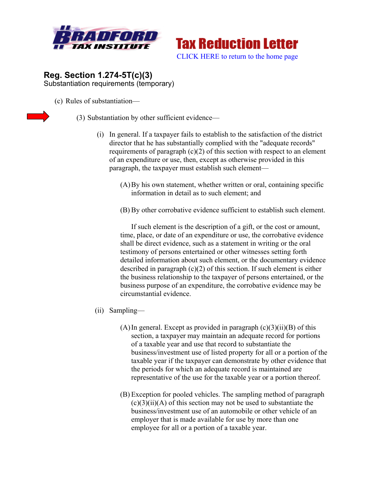



## **Reg. Section 1.274-5T(c)(3)**  Substantiation requirements (temporary)

(c) Rules of substantiation—



(3) Substantiation by other sufficient evidence—

- (i) In general. If a taxpayer fails to establish to the satisfaction of the district director that he has substantially complied with the "adequate records" requirements of paragraph  $(c)(2)$  of this section with respect to an element of an expenditure or use, then, except as otherwise provided in this paragraph, the taxpayer must establish such element—
	- (A)By his own statement, whether written or oral, containing specific information in detail as to such element; and
	- (B) By other corrobative evidence sufficient to establish such element.

If such element is the description of a gift, or the cost or amount, time, place, or date of an expenditure or use, the corrobative evidence shall be direct evidence, such as a statement in writing or the oral testimony of persons entertained or other witnesses setting forth detailed information about such element, or the documentary evidence described in paragraph (c)(2) of this section. If such element is either the business relationship to the taxpayer of persons entertained, or the business purpose of an expenditure, the corrobative evidence may be circumstantial evidence.

- (ii) Sampling—
	- (A) In general. Except as provided in paragraph  $(c)(3)(ii)(B)$  of this section, a taxpayer may maintain an adequate record for portions of a taxable year and use that record to substantiate the business/investment use of listed property for all or a portion of the taxable year if the taxpayer can demonstrate by other evidence that the periods for which an adequate record is maintained are representative of the use for the taxable year or a portion thereof.
	- (B) Exception for pooled vehicles. The sampling method of paragraph  $(c)(3)(ii)(A)$  of this section may not be used to substantiate the business/investment use of an automobile or other vehicle of an employer that is made available for use by more than one employee for all or a portion of a taxable year.